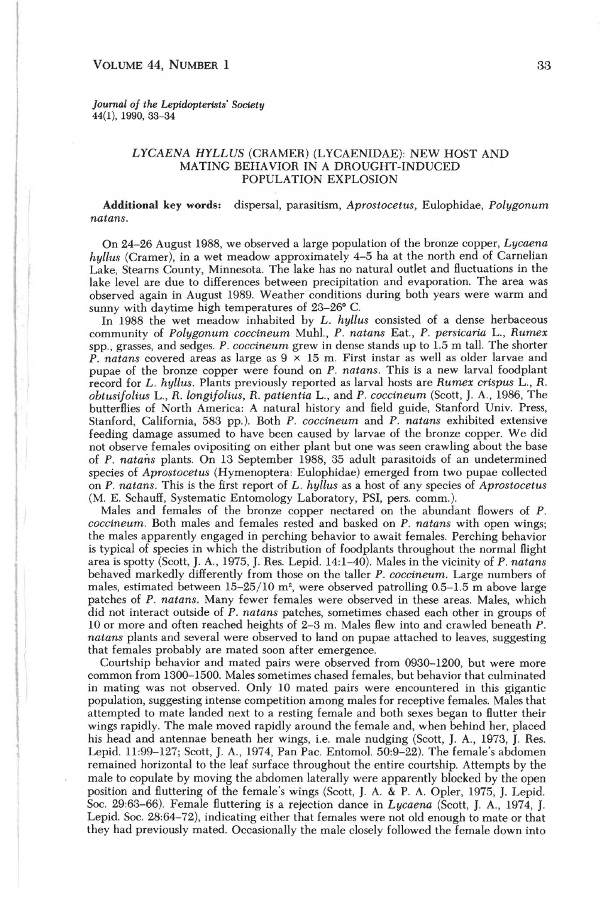## VOLUME 44, NUMBER 1

*Journal of the Lepidopterists' Society*  44(1), 1990, 33-34

## *LYCAENA HYLLUS* (CRAMER) (LYCAENIDAE): NEW HOST AND MATING BEHAVIOR IN A DROUGHT-INDUCED POPULA TION EXPLOSION

**Additional** key words: dispersal, parasitism, *Aprostocetus,* Eulophidae, *Polygonum natans.* 

On 24-26 August 1988, we observed a large population of the bronze copper, *Lycaena hyllus* (Cramer), in a wet meadow approximately 4-5 ha at the north end of Carnelian Lake, Stearns County, Minnesota. The lake has no natural outlet and fluctuations in the lake level are due to differences between precipitation and evaporation. The area was observed again in August 1989. Weather conditions during both years were warm and sunny with daytime high temperatures of 23-26° C.

In 1988 the wet meadow inhabited by *L. hyllus* consisted of a dense herbaceous community of *Polygonum coccineum* Muhl., P . *natans* Eat., P. *persicaria* L., *Rumex*  spp., grasses, and sedges. P. *coccineum* grew in dense stands up to 1.5 m tall. The shorter P. *natans* covered areas as large as  $9 \times 15$  m. First instar as well as older larvae and pupae of the bronze copper were found on P. *natans*. This is a new larval foodplant record for L. *hyllus.* Plants previously reported as larval hosts are *Rumex crispus* L., R. *obtusifoliuS* L., R. *longifolius,* R. *patientia* L., and P. *coccineum* (Scott, J. *A.,* 1986, The butterflies of North America: A natural history and field guide, Stanford Univ. Press, Stanford, California, 583 pp.). Both P. *coccineum* and P. *natans* exhibited extensive feeding damage assumed to have been caused by larvae of the bronze copper. We did not observe females ovipositing on either plant but one was seen crawling about the base of P. *natmis* plants. On 13 September 1988, 35 adult parasitoids of an undetermined species of *Aprostocetus* (Hymenoptera: Eulophidae) emerged from two pupae collected on P. *natans.* This is the first report of *L. hyllus* as a host of any species of *Aprostocetus*  (M. E. Schauff, Systematic Entomology Laboratory, PSI, pers. comm.).

Males and females of the bronze copper nectared on the abundant flowers of P. *coccineum.* Both males and females rested and basked on P. *natans* with open wings; the males apparently engaged in perching behavior to await females. Perching behavior is typical of species in which the distribution of foodplants throughout the normal flight area is spotty (Scott, J. *A.,* 1975, J. Res. Lepid. 14:1-40). Males in the vicinity of P. *natans*  behaved markedly differently from those on the taller P. *coccineum.* Large numbers of males, estimated between 15-25/10 m', were observed patrolling 0.5-1.5 m above large patches of P. *natans.* Many fewer females were observed in these areas. Males, which did not interact outside of P. *natans* patches, sometimes chased each other in groups of 10 or more and often reached heights of 2-3 m. Males flew into and crawled beneath P. *natans* plants and several were observed to land on pupae attached to leaves, suggesting that females probably are mated soon after emergence.

Courtship behavior and mated pairs were observed from 0930-1200, but were more common from 1300-1500. Males sometimes chased females, but behavior that culminated in mating was not observed. Only 10 mated pairs were encountered in this gigantic population, suggesting intense competition among males for receptive females. Males that attempted to mate landed next to a resting female and both sexes began to flutter their wings rapidly. The male moved rapidly around the female and, when behind her, placed his head and antennae beneath her wings, i.e. male nudging (Scott, J. A., 1973, J. Res. Lepid. 11:99-127; Scott, J. *A.,* 1974, Pan Pac. Entomol. 50:9-22). The female's abdomen remained horizontal to the leaf surface throughout the entire courtship. Attempts by the male to copulate by moving the abdomen laterally were apparently blocked by the open position and fluttering of the female's wings (Scott, J. A. & P. A. Opler, 1975, J. Lepid. Soc. 29:63-66). Female fluttering is a rejection dance in *Lycaena* (Scott, J. *A.,* 1974, J. Lepid. Soc. 28:64-72), indicating either that females were not old enough to mate or that they had previously mated. Occasionally the male closely followed the female down into